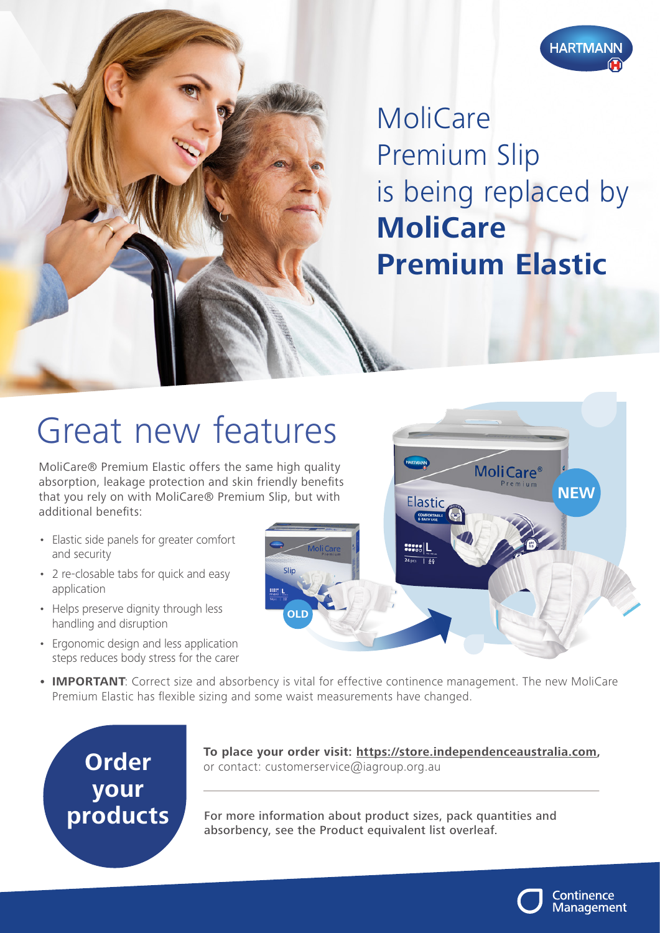

MoliCare Premium Slip is being replaced by **MoliCare Premium Elastic**

## Great new features

MoliCare® Premium Elastic offers the same high quality absorption, leakage protection and skin friendly benefits that you rely on with MoliCare® Premium Slip, but with additional benefits:

- Elastic side panels for greater comfort and security
- 2 re-closable tabs for quick and easy application
- Helps preserve dignity through less handling and disruption
- Ergonomic design and less application steps reduces body stress for the carer



**• IMPORTANT**: Correct size and absorbency is vital for effective continence management. The new MoliCare Premium Elastic has flexible sizing and some waist measurements have changed.



**To place your order visit: https://store.independenceaustralia.com,**  or contact: customerservice@iagroup.org.au

For more information about product sizes, pack quantities and absorbency, see the Product equivalent list overleaf.